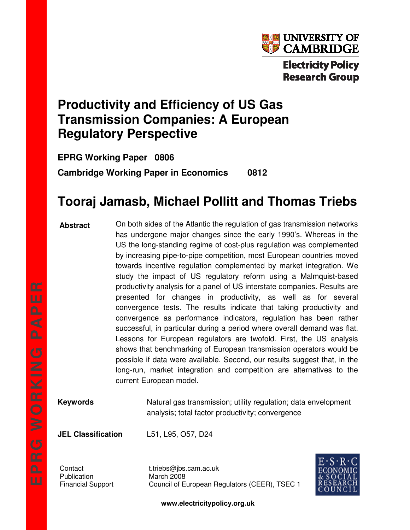

# **Productivity and Efficiency of US Gas Transmission Companies: A European Regulatory Perspective**

**EPRG Working Paper 0806 Cambridge Working Paper in Economics 0812** 

# **Tooraj Jamasb, Michael Pollitt and Thomas Triebs**

#### **Abstract**

On both sides of the Atlantic the regulation of gas transmission networks has undergone major changes since the early 1990's. Whereas in the US the long-standing regime of cost-plus regulation was complemented by increasing pipe-to-pipe competition, most European countries moved towards incentive regulation complemented by market integration. We study the impact of US regulatory reform using a Malmquist-based productivity analysis for a panel of US interstate companies. Results are presented for changes in productivity, as well as for several convergence tests. The results indicate that taking productivity and convergence as performance indicators, regulation has been rather successful, in particular during a period where overall demand was flat. Lessons for European regulators are twofold. First, the US analysis shows that benchmarking of European transmission operators would be possible if data were available. Second, our results suggest that, in the long-run, market integration and competition are alternatives to the current European model.

**Keywords Natural gas transmission**; utility regulation; data envelopment analysis; total factor productivity; convergence

**JEL Classification** L51, L95, O57, D24

Publication March 2008

Contact t.triebs@jbs.cam.ac.uk Financial Support Council of European Regulators (CEER), TSEC 1



**www.electricitypolicy.org.uk**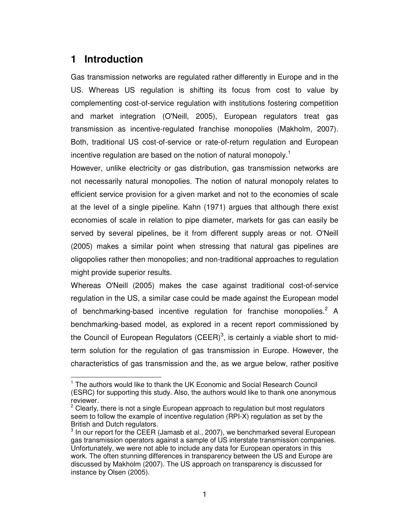### **1 Introduction**

Gas transmission networks are regulated rather differently in Europe and in the US. Whereas US regulation is shifting its focus from cost to value by complementing cost-of-service regulation with institutions fostering competition and market integration (O'Neill, 2005), European regulators treat gas transmission as incentive-regulated franchise monopolies (Makholm, 2007). Both, traditional US cost-of-service or rate-of-return regulation and European incentive regulation are based on the notion of natural monopoly.<sup>1</sup>

However, unlike electricity or gas distribution, gas transmission networks are not necessarily natural monopolies. The notion of natural monopoly relates to efficient service provision for a given market and not to the economies of scale at the level of a single pipeline. Kahn (1971) argues that although there exist economies of scale in relation to pipe diameter, markets for gas can easily be served by several pipelines, be it from different supply areas or not. O'Neill (2005) makes a similar point when stressing that natural gas pipelines are oligopolies rather then monopolies; and non-traditional approaches to regulation might provide superior results.

Whereas O'Neill (2005) makes the case against traditional cost-of-service regulation in the US, a similar case could be made against the European model of benchmarking-based incentive regulation for franchise monopolies.<sup>2</sup> A benchmarking-based model, as explored in a recent report commissioned by the Council of European Regulators (CEER)<sup>3</sup>, is certainly a viable short to midterm solution for the regulation of gas transmission in Europe. However, the characteristics of gas transmission and the, as we argue below, rather positive

 $\overline{a}$ <sup>1</sup> The authors would like to thank the UK Economic and Social Research Council (ESRC) for supporting this study. Also, the authors would like to thank one anonymous reviewer.

 $2$  Clearly, there is not a single European approach to regulation but most regulators seem to follow the example of incentive regulation (RPI-X) regulation as set by the British and Dutch regulators.

 $3$  In our report for the CEER (Jamasb et al., 2007), we benchmarked several European gas transmission operators against a sample of US interstate transmission companies. Unfortunately, we were not able to include any data for European operators in this work. The often stunning differences in transparency between the US and Europe are discussed by Makholm (2007). The US approach on transparency is discussed for instance by Olsen (2005).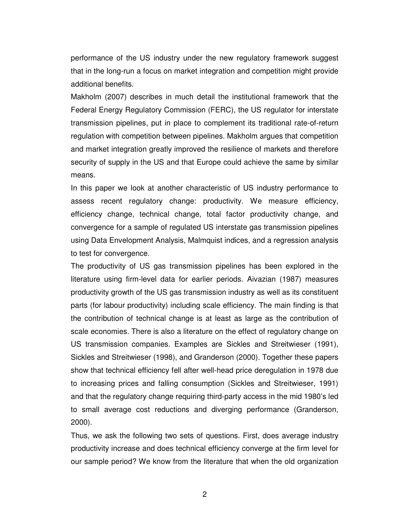performance of the US industry under the new regulatory framework suggest that in the long-run a focus on market integration and competition might provide additional benefits.

Makholm (2007) describes in much detail the institutional framework that the Federal Energy Regulatory Commission (FERC), the US regulator for interstate transmission pipelines, put in place to complement its traditional rate-of-return regulation with competition between pipelines. Makholm argues that competition and market integration greatly improved the resilience of markets and therefore security of supply in the US and that Europe could achieve the same by similar means.

In this paper we look at another characteristic of US industry performance to assess recent regulatory change: productivity. We measure efficiency, efficiency change, technical change, total factor productivity change, and convergence for a sample of regulated US interstate gas transmission pipelines using Data Envelopment Analysis, Malmquist indices, and a regression analysis to test for convergence.

The productivity of US gas transmission pipelines has been explored in the literature using firm-level data for earlier periods. Aivazian (1987) measures productivity growth of the US gas transmission industry as well as its constituent parts (for labour productivity) including scale efficiency. The main finding is that the contribution of technical change is at least as large as the contribution of scale economies. There is also a literature on the effect of regulatory change on US transmission companies. Examples are Sickles and Streitwieser (1991), Sickles and Streitwieser (1998), and Granderson (2000). Together these papers show that technical efficiency fell after well-head price deregulation in 1978 due to increasing prices and falling consumption (Sickles and Streitwieser, 1991) and that the regulatory change requiring third-party access in the mid 1980's led to small average cost reductions and diverging performance (Granderson, 2000).

Thus, we ask the following two sets of questions. First, does average industry productivity increase and does technical efficiency converge at the firm level for our sample period? We know from the literature that when the old organization

2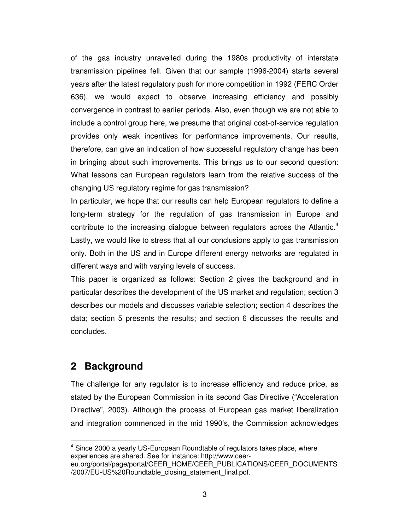of the gas industry unravelled during the 1980s productivity of interstate transmission pipelines fell. Given that our sample (1996-2004) starts several years after the latest regulatory push for more competition in 1992 (FERC Order 636), we would expect to observe increasing efficiency and possibly convergence in contrast to earlier periods. Also, even though we are not able to include a control group here, we presume that original cost-of-service regulation provides only weak incentives for performance improvements. Our results, therefore, can give an indication of how successful regulatory change has been in bringing about such improvements. This brings us to our second question: What lessons can European regulators learn from the relative success of the changing US regulatory regime for gas transmission?

In particular, we hope that our results can help European regulators to define a long-term strategy for the regulation of gas transmission in Europe and contribute to the increasing dialogue between regulators across the Atlantic.<sup>4</sup> Lastly, we would like to stress that all our conclusions apply to gas transmission only. Both in the US and in Europe different energy networks are regulated in different ways and with varying levels of success.

This paper is organized as follows: Section 2 gives the background and in particular describes the development of the US market and regulation; section 3 describes our models and discusses variable selection; section 4 describes the data; section 5 presents the results; and section 6 discusses the results and concludes.

# **2 Background**

The challenge for any regulator is to increase efficiency and reduce price, as stated by the European Commission in its second Gas Directive ("Acceleration Directive", 2003). Although the process of European gas market liberalization and integration commenced in the mid 1990's, the Commission acknowledges

 $\overline{a}$ <sup>4</sup> Since 2000 a yearly US-European Roundtable of regulators takes place, where experiences are shared. See for instance: http://www.ceer-

eu.org/portal/page/portal/CEER\_HOME/CEER\_PUBLICATIONS/CEER\_DOCUMENTS /2007/EU-US%20Roundtable\_closing\_statement\_final.pdf.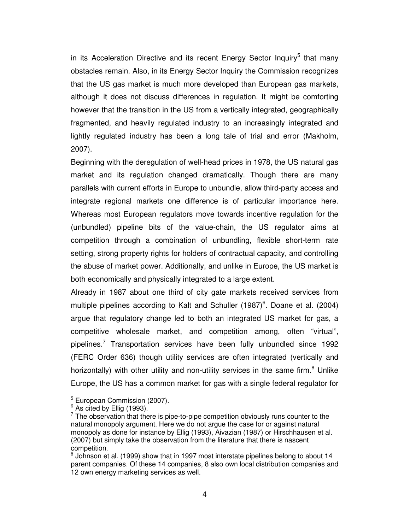in its Acceleration Directive and its recent Energy Sector Inquiry<sup>5</sup> that many obstacles remain. Also, in its Energy Sector Inquiry the Commission recognizes that the US gas market is much more developed than European gas markets, although it does not discuss differences in regulation. It might be comforting however that the transition in the US from a vertically integrated, geographically fragmented, and heavily regulated industry to an increasingly integrated and lightly regulated industry has been a long tale of trial and error (Makholm, 2007).

Beginning with the deregulation of well-head prices in 1978, the US natural gas market and its regulation changed dramatically. Though there are many parallels with current efforts in Europe to unbundle, allow third-party access and integrate regional markets one difference is of particular importance here. Whereas most European regulators move towards incentive regulation for the (unbundled) pipeline bits of the value-chain, the US regulator aims at competition through a combination of unbundling, flexible short-term rate setting, strong property rights for holders of contractual capacity, and controlling the abuse of market power. Additionally, and unlike in Europe, the US market is both economically and physically integrated to a large extent.

Already in 1987 about one third of city gate markets received services from multiple pipelines according to Kalt and Schuller  $(1987)^6$ . Doane et al. (2004) argue that regulatory change led to both an integrated US market for gas, a competitive wholesale market, and competition among, often "virtual", pipelines.<sup>7</sup> Transportation services have been fully unbundled since 1992 (FERC Order 636) though utility services are often integrated (vertically and horizontally) with other utility and non-utility services in the same firm.<sup>8</sup> Unlike Europe, the US has a common market for gas with a single federal regulator for

<sup>&</sup>lt;sup>5</sup> European Commission (2007).

 $^6$  As cited by Ellig (1993).

 $7$  The observation that there is pipe-to-pipe competition obviously runs counter to the natural monopoly argument. Here we do not argue the case for or against natural monopoly as done for instance by Ellig (1993), Aivazian (1987) or Hirschhausen et al. (2007) but simply take the observation from the literature that there is nascent competition.

 $8$  Johnson et al. (1999) show that in 1997 most interstate pipelines belong to about 14 parent companies. Of these 14 companies, 8 also own local distribution companies and 12 own energy marketing services as well.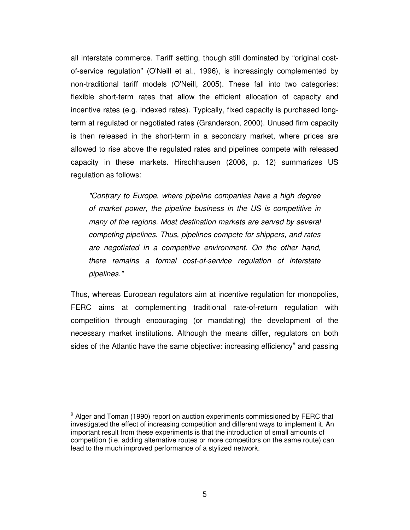all interstate commerce. Tariff setting, though still dominated by "original costof-service regulation" (O'Neill et al., 1996), is increasingly complemented by non-traditional tariff models (O'Neill, 2005). These fall into two categories: flexible short-term rates that allow the efficient allocation of capacity and incentive rates (e.g. indexed rates). Typically, fixed capacity is purchased longterm at regulated or negotiated rates (Granderson, 2000). Unused firm capacity is then released in the short-term in a secondary market, where prices are allowed to rise above the regulated rates and pipelines compete with released capacity in these markets. Hirschhausen (2006, p. 12) summarizes US regulation as follows:

"Contrary to Europe, where pipeline companies have a high degree of market power, the pipeline business in the US is competitive in many of the regions. Most destination markets are served by several competing pipelines. Thus, pipelines compete for shippers, and rates are negotiated in a competitive environment. On the other hand, there remains a formal cost-of-service regulation of interstate pipelines."

Thus, whereas European regulators aim at incentive regulation for monopolies, FERC aims at complementing traditional rate-of-return regulation with competition through encouraging (or mandating) the development of the necessary market institutions. Although the means differ, regulators on both sides of the Atlantic have the same objective: increasing efficiency<sup>9</sup> and passing

<sup>&</sup>lt;sup>9</sup> Alger and Toman (1990) report on auction experiments commissioned by FERC that investigated the effect of increasing competition and different ways to implement it. An important result from these experiments is that the introduction of small amounts of competition (i.e. adding alternative routes or more competitors on the same route) can lead to the much improved performance of a stylized network.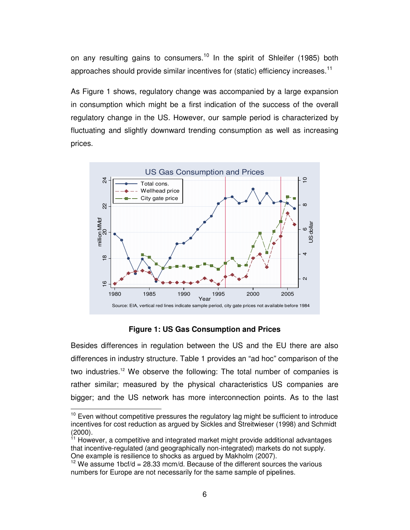on any resulting gains to consumers.<sup>10</sup> In the spirit of Shleifer (1985) both approaches should provide similar incentives for (static) efficiency increases.<sup>11</sup>

As Figure 1 shows, regulatory change was accompanied by a large expansion in consumption which might be a first indication of the success of the overall regulatory change in the US. However, our sample period is characterized by fluctuating and slightly downward trending consumption as well as increasing prices.



**Figure 1: US Gas Consumption and Prices** 

Besides differences in regulation between the US and the EU there are also differences in industry structure. Table 1 provides an "ad hoc" comparison of the two industries.<sup>12</sup> We observe the following: The total number of companies is rather similar; measured by the physical characteristics US companies are bigger; and the US network has more interconnection points. As to the last

 $10$  Even without competitive pressures the regulatory lag might be sufficient to introduce incentives for cost reduction as argued by Sickles and Streitwieser (1998) and Schmidt (2000).

 $11$  However, a competitive and integrated market might provide additional advantages that incentive-regulated (and geographically non-integrated) markets do not supply. One example is resilience to shocks as argued by Makholm (2007).

 $12$  We assume 1bcf/d = 28.33 mcm/d. Because of the different sources the various numbers for Europe are not necessarily for the same sample of pipelines.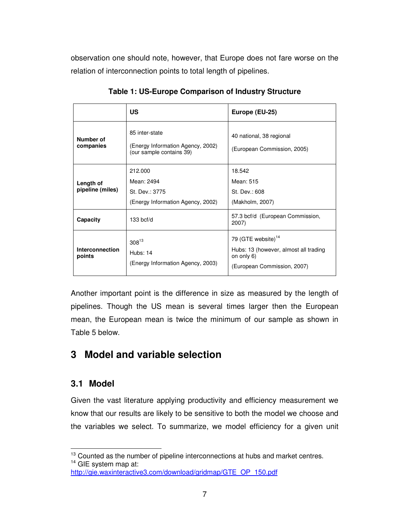observation one should note, however, that Europe does not fare worse on the relation of interconnection points to total length of pipelines.

|                               | US                                                                              | Europe (EU-25)                                                                                                       |  |
|-------------------------------|---------------------------------------------------------------------------------|----------------------------------------------------------------------------------------------------------------------|--|
| Number of<br>companies        | 85 inter-state<br>(Energy Information Agency, 2002)<br>(our sample contains 39) | 40 national, 38 regional<br>(European Commission, 2005)                                                              |  |
| Length of<br>pipeline (miles) | 212.000<br>Mean: 2494<br>St. Dev.: 3775<br>(Energy Information Agency, 2002)    | 18.542<br>Mean: 515<br>St. Dev.: 608<br>(Makholm, 2007)                                                              |  |
| Capacity                      | $133$ bcf/d                                                                     | 57.3 bcf/d (European Commission,<br>2007)                                                                            |  |
| Interconnection<br>points     | $308^{13}$<br>Hubs: 14<br>(Energy Information Agency, 2003)                     | 79 (GTE website) <sup>14</sup><br>Hubs: 13 (however, almost all trading<br>on only 6)<br>(European Commission, 2007) |  |

**Table 1: US-Europe Comparison of Industry Structure**

Another important point is the difference in size as measured by the length of pipelines. Though the US mean is several times larger then the European mean, the European mean is twice the minimum of our sample as shown in Table 5 below.

# **3 Model and variable selection**

### **3.1 Model**

Given the vast literature applying productivity and efficiency measurement we know that our results are likely to be sensitive to both the model we choose and the variables we select. To summarize, we model efficiency for a given unit

 $\overline{a}$  $13$  Counted as the number of pipeline interconnections at hubs and market centres. <sup>14</sup> GIE system map at:

http://gie.waxinteractive3.com/download/gridmap/GTE\_OP\_150.pdf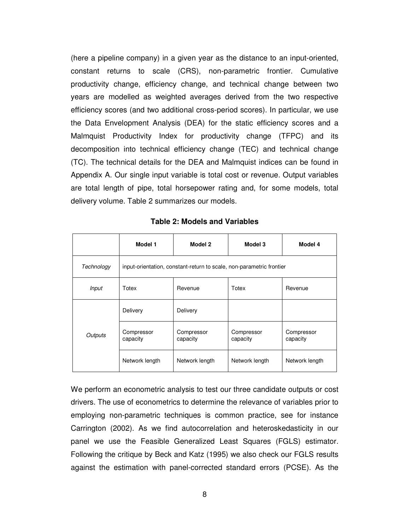(here a pipeline company) in a given year as the distance to an input-oriented, constant returns to scale (CRS), non-parametric frontier. Cumulative productivity change, efficiency change, and technical change between two years are modelled as weighted averages derived from the two respective efficiency scores (and two additional cross-period scores). In particular, we use the Data Envelopment Analysis (DEA) for the static efficiency scores and a Malmquist Productivity Index for productivity change (TFPC) and its decomposition into technical efficiency change (TEC) and technical change (TC). The technical details for the DEA and Malmquist indices can be found in Appendix A. Our single input variable is total cost or revenue. Output variables are total length of pipe, total horsepower rating and, for some models, total delivery volume. Table 2 summarizes our models.

|              | Model 1                | Model 2                                                              | Model 3                | Model 4                |
|--------------|------------------------|----------------------------------------------------------------------|------------------------|------------------------|
| Technology   |                        | input-orientation, constant-return to scale, non-parametric frontier |                        |                        |
| <b>Input</b> | Totex                  | Revenue                                                              |                        | Revenue                |
|              | Delivery               | Delivery                                                             |                        |                        |
| Outputs      | Compressor<br>capacity | Compressor<br>capacity                                               | Compressor<br>capacity | Compressor<br>capacity |
|              | Network length         | Network length                                                       | Network length         | Network length         |

**Table 2: Models and Variables** 

We perform an econometric analysis to test our three candidate outputs or cost drivers. The use of econometrics to determine the relevance of variables prior to employing non-parametric techniques is common practice, see for instance Carrington (2002). As we find autocorrelation and heteroskedasticity in our panel we use the Feasible Generalized Least Squares (FGLS) estimator. Following the critique by Beck and Katz (1995) we also check our FGLS results against the estimation with panel-corrected standard errors (PCSE). As the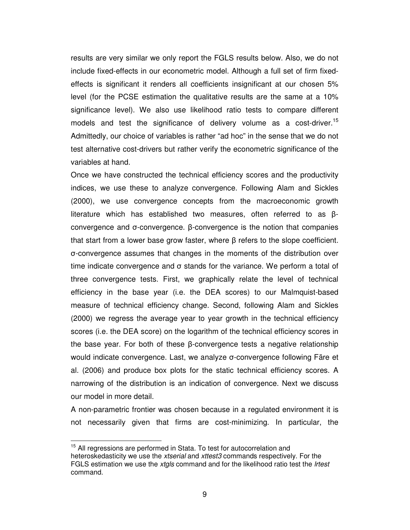results are very similar we only report the FGLS results below. Also, we do not include fixed-effects in our econometric model. Although a full set of firm fixedeffects is significant it renders all coefficients insignificant at our chosen 5% level (for the PCSE estimation the qualitative results are the same at a 10% significance level). We also use likelihood ratio tests to compare different models and test the significance of delivery volume as a cost-driver.<sup>15</sup> Admittedly, our choice of variables is rather "ad hoc" in the sense that we do not test alternative cost-drivers but rather verify the econometric significance of the variables at hand.

Once we have constructed the technical efficiency scores and the productivity indices, we use these to analyze convergence. Following Alam and Sickles (2000), we use convergence concepts from the macroeconomic growth literature which has established two measures, often referred to as βconvergence and σ-convergence. β-convergence is the notion that companies that start from a lower base grow faster, where β refers to the slope coefficient. σ-convergence assumes that changes in the moments of the distribution over time indicate convergence and σ stands for the variance. We perform a total of three convergence tests. First, we graphically relate the level of technical efficiency in the base year (i.e. the DEA scores) to our Malmquist-based measure of technical efficiency change. Second, following Alam and Sickles (2000) we regress the average year to year growth in the technical efficiency scores (i.e. the DEA score) on the logarithm of the technical efficiency scores in the base year. For both of these β-convergence tests a negative relationship would indicate convergence. Last, we analyze σ-convergence following Färe et al. (2006) and produce box plots for the static technical efficiency scores. A narrowing of the distribution is an indication of convergence. Next we discuss our model in more detail.

A non-parametric frontier was chosen because in a regulated environment it is not necessarily given that firms are cost-minimizing. In particular, the

<sup>&</sup>lt;sup>15</sup> All regressions are performed in Stata. To test for autocorrelation and heteroskedasticity we use the xtserial and xttest3 commands respectively. For the FGLS estimation we use the xtgls command and for the likelihood ratio test the Irtest command.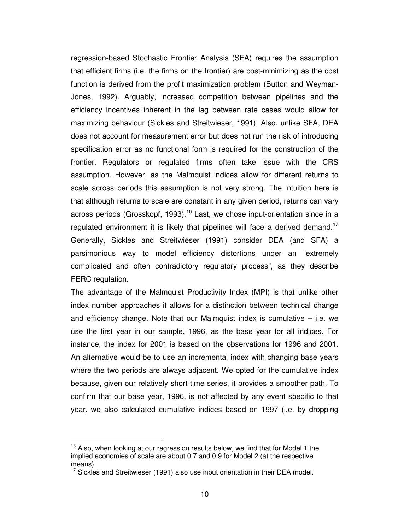regression-based Stochastic Frontier Analysis (SFA) requires the assumption that efficient firms (i.e. the firms on the frontier) are cost-minimizing as the cost function is derived from the profit maximization problem (Button and Weyman-Jones, 1992). Arguably, increased competition between pipelines and the efficiency incentives inherent in the lag between rate cases would allow for maximizing behaviour (Sickles and Streitwieser, 1991). Also, unlike SFA, DEA does not account for measurement error but does not run the risk of introducing specification error as no functional form is required for the construction of the frontier. Regulators or regulated firms often take issue with the CRS assumption. However, as the Malmquist indices allow for different returns to scale across periods this assumption is not very strong. The intuition here is that although returns to scale are constant in any given period, returns can vary across periods (Grosskopf, 1993).<sup>16</sup> Last, we chose input-orientation since in a regulated environment it is likely that pipelines will face a derived demand.<sup>17</sup> Generally, Sickles and Streitwieser (1991) consider DEA (and SFA) a parsimonious way to model efficiency distortions under an "extremely complicated and often contradictory regulatory process", as they describe FERC regulation.

The advantage of the Malmquist Productivity Index (MPI) is that unlike other index number approaches it allows for a distinction between technical change and efficiency change. Note that our Malmquist index is cumulative  $-$  i.e. we use the first year in our sample, 1996, as the base year for all indices. For instance, the index for 2001 is based on the observations for 1996 and 2001. An alternative would be to use an incremental index with changing base years where the two periods are always adjacent. We opted for the cumulative index because, given our relatively short time series, it provides a smoother path. To confirm that our base year, 1996, is not affected by any event specific to that year, we also calculated cumulative indices based on 1997 (i.e. by dropping

 $16$  Also, when looking at our regression results below, we find that for Model 1 the implied economies of scale are about 0.7 and 0.9 for Model 2 (at the respective means).

 $17$  Sickles and Streitwieser (1991) also use input orientation in their DEA model.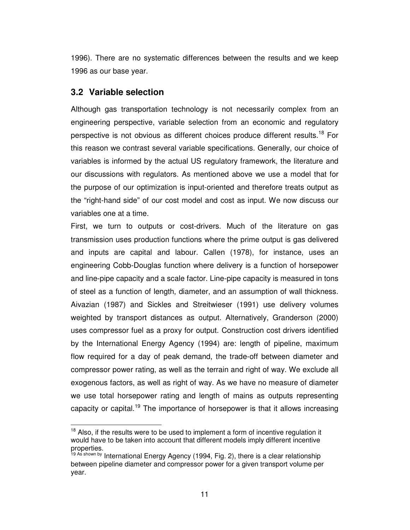1996). There are no systematic differences between the results and we keep 1996 as our base year.

### **3.2 Variable selection**

Although gas transportation technology is not necessarily complex from an engineering perspective, variable selection from an economic and regulatory perspective is not obvious as different choices produce different results.<sup>18</sup> For this reason we contrast several variable specifications. Generally, our choice of variables is informed by the actual US regulatory framework, the literature and our discussions with regulators. As mentioned above we use a model that for the purpose of our optimization is input-oriented and therefore treats output as the "right-hand side" of our cost model and cost as input. We now discuss our variables one at a time.

First, we turn to outputs or cost-drivers. Much of the literature on gas transmission uses production functions where the prime output is gas delivered and inputs are capital and labour. Callen (1978), for instance, uses an engineering Cobb-Douglas function where delivery is a function of horsepower and line-pipe capacity and a scale factor. Line-pipe capacity is measured in tons of steel as a function of length, diameter, and an assumption of wall thickness. Aivazian (1987) and Sickles and Streitwieser (1991) use delivery volumes weighted by transport distances as output. Alternatively, Granderson (2000) uses compressor fuel as a proxy for output. Construction cost drivers identified by the International Energy Agency (1994) are: length of pipeline, maximum flow required for a day of peak demand, the trade-off between diameter and compressor power rating, as well as the terrain and right of way. We exclude all exogenous factors, as well as right of way. As we have no measure of diameter we use total horsepower rating and length of mains as outputs representing capacity or capital.<sup>19</sup> The importance of horsepower is that it allows increasing

 $\overline{a}$  $18$  Also, if the results were to be used to implement a form of incentive regulation it would have to be taken into account that different models imply different incentive properties.

<sup>&</sup>lt;sup>19 As shown by International Energy Agency (1994, Fig. 2), there is a clear relationship</sup> between pipeline diameter and compressor power for a given transport volume per year.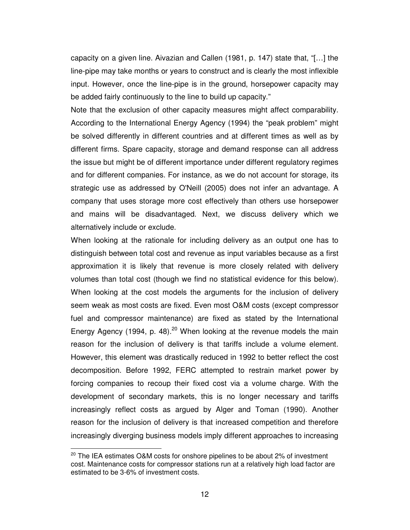capacity on a given line. Aivazian and Callen (1981, p. 147) state that, "[…] the line-pipe may take months or years to construct and is clearly the most inflexible input. However, once the line-pipe is in the ground, horsepower capacity may be added fairly continuously to the line to build up capacity."

Note that the exclusion of other capacity measures might affect comparability. According to the International Energy Agency (1994) the "peak problem" might be solved differently in different countries and at different times as well as by different firms. Spare capacity, storage and demand response can all address the issue but might be of different importance under different regulatory regimes and for different companies. For instance, as we do not account for storage, its strategic use as addressed by O'Neill (2005) does not infer an advantage. A company that uses storage more cost effectively than others use horsepower and mains will be disadvantaged. Next, we discuss delivery which we alternatively include or exclude.

When looking at the rationale for including delivery as an output one has to distinguish between total cost and revenue as input variables because as a first approximation it is likely that revenue is more closely related with delivery volumes than total cost (though we find no statistical evidence for this below). When looking at the cost models the arguments for the inclusion of delivery seem weak as most costs are fixed. Even most O&M costs (except compressor fuel and compressor maintenance) are fixed as stated by the International Energy Agency (1994, p. 48).<sup>20</sup> When looking at the revenue models the main reason for the inclusion of delivery is that tariffs include a volume element. However, this element was drastically reduced in 1992 to better reflect the cost decomposition. Before 1992, FERC attempted to restrain market power by forcing companies to recoup their fixed cost via a volume charge. With the development of secondary markets, this is no longer necessary and tariffs increasingly reflect costs as argued by Alger and Toman (1990). Another reason for the inclusion of delivery is that increased competition and therefore increasingly diverging business models imply different approaches to increasing

 $20$  The IEA estimates O&M costs for onshore pipelines to be about 2% of investment cost. Maintenance costs for compressor stations run at a relatively high load factor are estimated to be 3-6% of investment costs.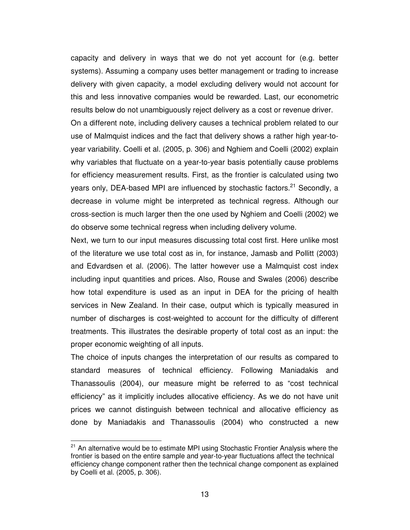capacity and delivery in ways that we do not yet account for (e.g. better systems). Assuming a company uses better management or trading to increase delivery with given capacity, a model excluding delivery would not account for this and less innovative companies would be rewarded. Last, our econometric results below do not unambiguously reject delivery as a cost or revenue driver. On a different note, including delivery causes a technical problem related to our use of Malmquist indices and the fact that delivery shows a rather high year-toyear variability. Coelli et al. (2005, p. 306) and Nghiem and Coelli (2002) explain why variables that fluctuate on a year-to-year basis potentially cause problems for efficiency measurement results. First, as the frontier is calculated using two years only, DEA-based MPI are influenced by stochastic factors.<sup>21</sup> Secondly. a decrease in volume might be interpreted as technical regress. Although our cross-section is much larger then the one used by Nghiem and Coelli (2002) we do observe some technical regress when including delivery volume.

Next, we turn to our input measures discussing total cost first. Here unlike most of the literature we use total cost as in, for instance, Jamasb and Pollitt (2003) and Edvardsen et al. (2006). The latter however use a Malmquist cost index including input quantities and prices. Also, Rouse and Swales (2006) describe how total expenditure is used as an input in DEA for the pricing of health services in New Zealand. In their case, output which is typically measured in number of discharges is cost-weighted to account for the difficulty of different treatments. This illustrates the desirable property of total cost as an input: the proper economic weighting of all inputs.

The choice of inputs changes the interpretation of our results as compared to standard measures of technical efficiency. Following Maniadakis and Thanassoulis (2004), our measure might be referred to as "cost technical efficiency" as it implicitly includes allocative efficiency. As we do not have unit prices we cannot distinguish between technical and allocative efficiency as done by Maniadakis and Thanassoulis (2004) who constructed a new

<sup>&</sup>lt;sup>21</sup> An alternative would be to estimate MPI using Stochastic Frontier Analysis where the frontier is based on the entire sample and year-to-year fluctuations affect the technical efficiency change component rather then the technical change component as explained by Coelli et al. (2005, p. 306).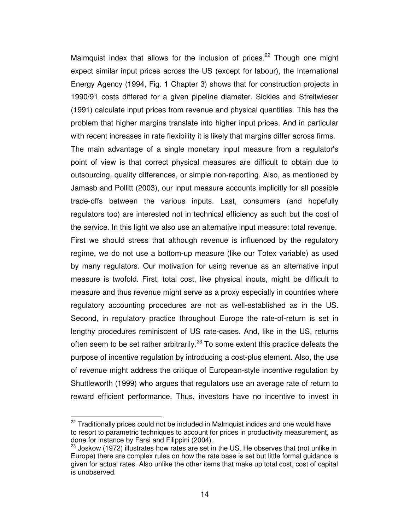Malmquist index that allows for the inclusion of prices.<sup>22</sup> Though one might expect similar input prices across the US (except for labour), the International Energy Agency (1994, Fig. 1 Chapter 3) shows that for construction projects in 1990/91 costs differed for a given pipeline diameter. Sickles and Streitwieser (1991) calculate input prices from revenue and physical quantities. This has the problem that higher margins translate into higher input prices. And in particular with recent increases in rate flexibility it is likely that margins differ across firms.

The main advantage of a single monetary input measure from a regulator's point of view is that correct physical measures are difficult to obtain due to outsourcing, quality differences, or simple non-reporting. Also, as mentioned by Jamasb and Pollitt (2003), our input measure accounts implicitly for all possible trade-offs between the various inputs. Last, consumers (and hopefully regulators too) are interested not in technical efficiency as such but the cost of the service. In this light we also use an alternative input measure: total revenue. First we should stress that although revenue is influenced by the regulatory regime, we do not use a bottom-up measure (like our Totex variable) as used by many regulators. Our motivation for using revenue as an alternative input measure is twofold. First, total cost, like physical inputs, might be difficult to measure and thus revenue might serve as a proxy especially in countries where regulatory accounting procedures are not as well-established as in the US. Second, in regulatory practice throughout Europe the rate-of-return is set in lengthy procedures reminiscent of US rate-cases. And, like in the US, returns often seem to be set rather arbitrarily.<sup>23</sup> To some extent this practice defeats the purpose of incentive regulation by introducing a cost-plus element. Also, the use of revenue might address the critique of European-style incentive regulation by Shuttleworth (1999) who argues that regulators use an average rate of return to

reward efficient performance. Thus, investors have no incentive to invest in

 $\overline{a}$  $22$  Traditionally prices could not be included in Malmquist indices and one would have to resort to parametric techniques to account for prices in productivity measurement, as done for instance by Farsi and Filippini (2004).

 $23$  Joskow (1972) illustrates how rates are set in the US. He observes that (not unlike in Europe) there are complex rules on how the rate base is set but little formal guidance is given for actual rates. Also unlike the other items that make up total cost, cost of capital is unobserved.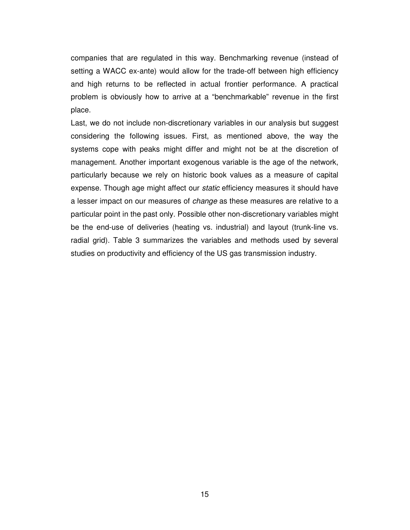companies that are regulated in this way. Benchmarking revenue (instead of setting a WACC ex-ante) would allow for the trade-off between high efficiency and high returns to be reflected in actual frontier performance. A practical problem is obviously how to arrive at a "benchmarkable" revenue in the first place.

Last, we do not include non-discretionary variables in our analysis but suggest considering the following issues. First, as mentioned above, the way the systems cope with peaks might differ and might not be at the discretion of management. Another important exogenous variable is the age of the network, particularly because we rely on historic book values as a measure of capital expense. Though age might affect our *static* efficiency measures it should have a lesser impact on our measures of *change* as these measures are relative to a particular point in the past only. Possible other non-discretionary variables might be the end-use of deliveries (heating vs. industrial) and layout (trunk-line vs. radial grid). Table 3 summarizes the variables and methods used by several studies on productivity and efficiency of the US gas transmission industry.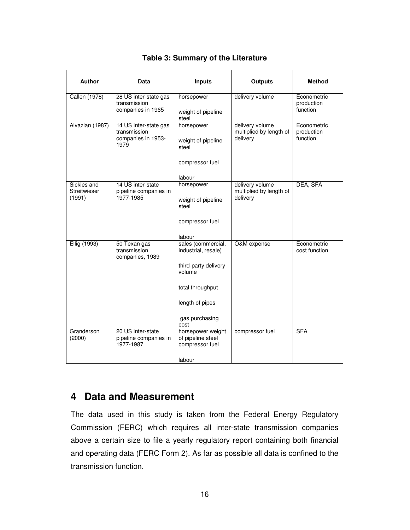| <b>Author</b>                         | Data                                                                | <b>Inputs</b>                                             | <b>Outputs</b>                                         | Method                                |
|---------------------------------------|---------------------------------------------------------------------|-----------------------------------------------------------|--------------------------------------------------------|---------------------------------------|
| <b>Callen (1978)</b>                  | 28 US inter-state gas<br>transmission<br>companies in 1965          | horsepower<br>weight of pipeline                          | delivery volume                                        | Econometric<br>production<br>function |
|                                       |                                                                     | steel                                                     |                                                        |                                       |
| Aivazian (1987)                       | 14 US inter-state gas<br>transmission<br>companies in 1953-<br>1979 | horsepower<br>weight of pipeline<br>steel                 | delivery volume<br>multiplied by length of<br>delivery | Econometric<br>production<br>function |
|                                       |                                                                     | compressor fuel                                           |                                                        |                                       |
|                                       |                                                                     | labour                                                    |                                                        |                                       |
| Sickles and<br>Streitwieser<br>(1991) | 14 US inter-state<br>pipeline companies in<br>1977-1985             | horsepower                                                | delivery volume<br>multiplied by length of<br>delivery | DEA, SFA                              |
|                                       |                                                                     | weight of pipeline<br>steel                               |                                                        |                                       |
|                                       |                                                                     | compressor fuel                                           |                                                        |                                       |
|                                       |                                                                     | labour                                                    |                                                        |                                       |
| Ellig (1993)                          | 50 Texan gas<br>transmission<br>companies, 1989                     | sales (commercial,<br>industrial, resale)                 | O&M expense                                            | Econometric<br>cost function          |
|                                       |                                                                     | third-party delivery<br>volume                            |                                                        |                                       |
|                                       |                                                                     | total throughput                                          |                                                        |                                       |
|                                       |                                                                     | length of pipes                                           |                                                        |                                       |
|                                       |                                                                     | gas purchasing<br>cost                                    |                                                        |                                       |
| Granderson<br>(2000)                  | 20 US inter-state<br>pipeline companies in<br>1977-1987             | horsepower weight<br>of pipeline steel<br>compressor fuel | compressor fuel                                        | <b>SFA</b>                            |
|                                       |                                                                     | labour                                                    |                                                        |                                       |

#### **Table 3: Summary of the Literature**

### **4 Data and Measurement**

The data used in this study is taken from the Federal Energy Regulatory Commission (FERC) which requires all inter-state transmission companies above a certain size to file a yearly regulatory report containing both financial and operating data (FERC Form 2). As far as possible all data is confined to the transmission function.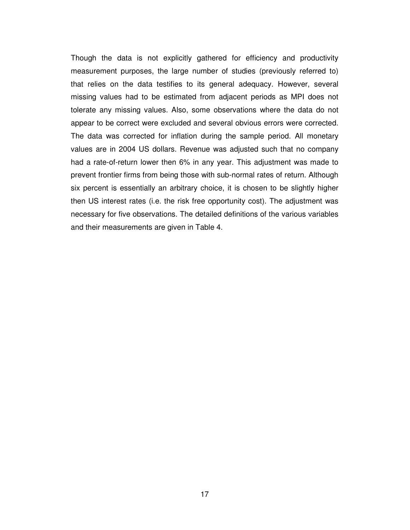Though the data is not explicitly gathered for efficiency and productivity measurement purposes, the large number of studies (previously referred to) that relies on the data testifies to its general adequacy. However, several missing values had to be estimated from adjacent periods as MPI does not tolerate any missing values. Also, some observations where the data do not appear to be correct were excluded and several obvious errors were corrected. The data was corrected for inflation during the sample period. All monetary values are in 2004 US dollars. Revenue was adjusted such that no company had a rate-of-return lower then 6% in any year. This adjustment was made to prevent frontier firms from being those with sub-normal rates of return. Although six percent is essentially an arbitrary choice, it is chosen to be slightly higher then US interest rates (i.e. the risk free opportunity cost). The adjustment was necessary for five observations. The detailed definitions of the various variables and their measurements are given in Table 4.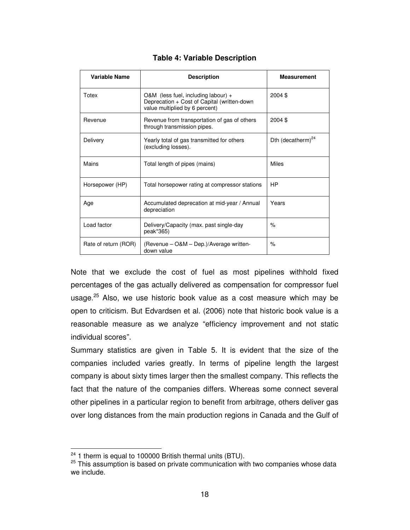| Variable Name        | <b>Description</b>                                                                                                     | <b>Measurement</b>            |
|----------------------|------------------------------------------------------------------------------------------------------------------------|-------------------------------|
| Totex                | O&M (less fuel, including labour) $+$<br>Deprecation + Cost of Capital (written-down<br>value multiplied by 6 percent) | 2004 \$                       |
| Revenue              | Revenue from transportation of gas of others<br>through transmission pipes.                                            | 2004 \$                       |
| Delivery             | Yearly total of gas transmitted for others<br>(excluding losses).                                                      | Dth (decatherm) <sup>24</sup> |
| Mains                | Total length of pipes (mains)                                                                                          | <b>Miles</b>                  |
| Horsepower (HP)      | Total horsepower rating at compressor stations                                                                         | HP                            |
| Age                  | Accumulated deprecation at mid-year / Annual<br>depreciation                                                           | Years                         |
| Load factor          | Delivery/Capacity (max. past single-day<br>peak*365)                                                                   | $\frac{9}{6}$                 |
| Rate of return (ROR) | (Revenue - O&M - Dep.)/Average written-<br>down value                                                                  | $\frac{1}{2}$                 |

#### **Table 4: Variable Description**

Note that we exclude the cost of fuel as most pipelines withhold fixed percentages of the gas actually delivered as compensation for compressor fuel usage.<sup>25</sup> Also, we use historic book value as a cost measure which may be open to criticism. But Edvardsen et al. (2006) note that historic book value is a reasonable measure as we analyze "efficiency improvement and not static individual scores".

Summary statistics are given in Table 5. It is evident that the size of the companies included varies greatly. In terms of pipeline length the largest company is about sixty times larger then the smallest company. This reflects the fact that the nature of the companies differs. Whereas some connect several other pipelines in a particular region to benefit from arbitrage, others deliver gas over long distances from the main production regions in Canada and the Gulf of

 $24$  1 therm is equal to 100000 British thermal units (BTU).

<sup>&</sup>lt;sup>25</sup> This assumption is based on private communication with two companies whose data we include.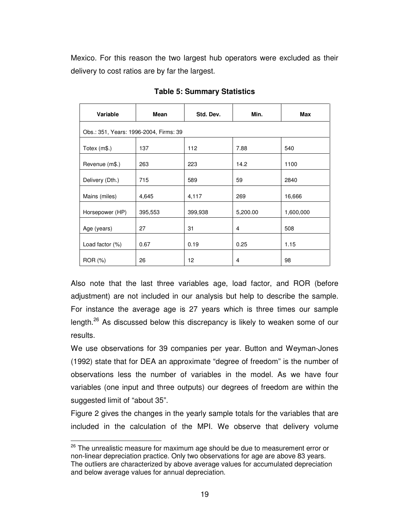Mexico. For this reason the two largest hub operators were excluded as their delivery to cost ratios are by far the largest.

| Variable                               | Mean    | Std. Dev. | Min.     | <b>Max</b> |  |  |  |  |  |  |
|----------------------------------------|---------|-----------|----------|------------|--|--|--|--|--|--|
| Obs.: 351, Years: 1996-2004, Firms: 39 |         |           |          |            |  |  |  |  |  |  |
| Totex (m\$.)                           | 137     | 112       | 7.88     | 540        |  |  |  |  |  |  |
| Revenue (m\$.)                         | 263     | 223       | 14.2     | 1100       |  |  |  |  |  |  |
| Delivery (Dth.)                        | 715     | 589       | 59       | 2840       |  |  |  |  |  |  |
| Mains (miles)                          | 4,645   | 4,117     | 269      | 16,666     |  |  |  |  |  |  |
| Horsepower (HP)                        | 395,553 | 399,938   | 5,200.00 | 1,600,000  |  |  |  |  |  |  |
| Age (years)                            | 27      | 31        | 4        | 508        |  |  |  |  |  |  |
| Load factor (%)                        | 0.67    | 0.19      | 0.25     | 1.15       |  |  |  |  |  |  |
| ROR (%)                                | 26      | 12        | 4        | 98         |  |  |  |  |  |  |

**Table 5: Summary Statistics** 

Also note that the last three variables age, load factor, and ROR (before adjustment) are not included in our analysis but help to describe the sample. For instance the average age is 27 years which is three times our sample length.<sup>26</sup> As discussed below this discrepancy is likely to weaken some of our results.

We use observations for 39 companies per year. Button and Weyman-Jones (1992) state that for DEA an approximate "degree of freedom" is the number of observations less the number of variables in the model. As we have four variables (one input and three outputs) our degrees of freedom are within the suggested limit of "about 35".

Figure 2 gives the changes in the yearly sample totals for the variables that are included in the calculation of the MPI. We observe that delivery volume

<sup>&</sup>lt;sup>26</sup> The unrealistic measure for maximum age should be due to measurement error or non-linear depreciation practice. Only two observations for age are above 83 years. The outliers are characterized by above average values for accumulated depreciation and below average values for annual depreciation.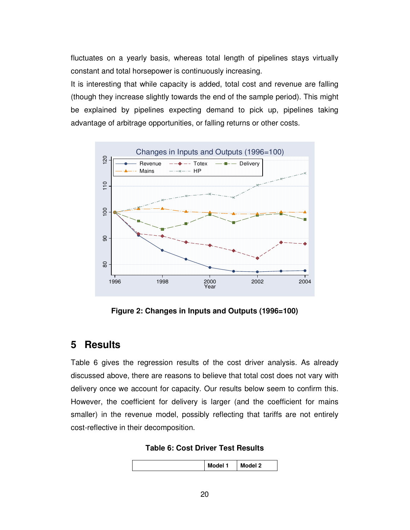fluctuates on a yearly basis, whereas total length of pipelines stays virtually constant and total horsepower is continuously increasing.

It is interesting that while capacity is added, total cost and revenue are falling (though they increase slightly towards the end of the sample period). This might be explained by pipelines expecting demand to pick up, pipelines taking advantage of arbitrage opportunities, or falling returns or other costs.



**Figure 2: Changes in Inputs and Outputs (1996=100)** 

# **5 Results**

Table 6 gives the regression results of the cost driver analysis. As already discussed above, there are reasons to believe that total cost does not vary with delivery once we account for capacity. Our results below seem to confirm this. However, the coefficient for delivery is larger (and the coefficient for mains smaller) in the revenue model, possibly reflecting that tariffs are not entirely cost-reflective in their decomposition.

**Table 6: Cost Driver Test Results** 

|--|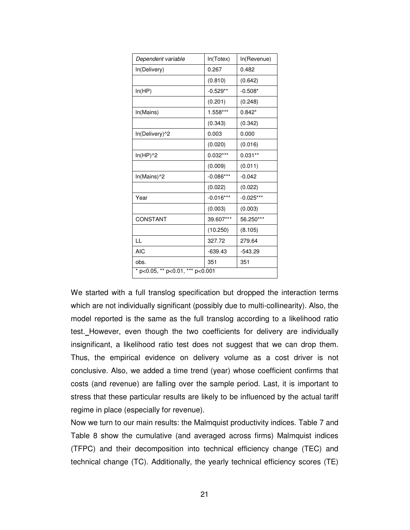| Dependent variable               | In(Totex)   | In(Revenue) |  |  |  |  |  |
|----------------------------------|-------------|-------------|--|--|--|--|--|
| In(Delivery)                     | 0.267       | 0.482       |  |  |  |  |  |
|                                  | (0.810)     | (0.642)     |  |  |  |  |  |
| In(HP)                           | $-0.529**$  | $-0.508*$   |  |  |  |  |  |
|                                  | (0.201)     | (0.248)     |  |  |  |  |  |
| In(Mains)                        | 1.558***    | $0.842*$    |  |  |  |  |  |
|                                  | (0.343)     | (0.342)     |  |  |  |  |  |
| In(Delivery)^2                   | 0.003       | 0.000       |  |  |  |  |  |
|                                  | (0.020)     | (0.016)     |  |  |  |  |  |
| $ln(HP)^2$                       | $0.032***$  | $0.031**$   |  |  |  |  |  |
|                                  | (0.009)     | (0.011)     |  |  |  |  |  |
| In(Mains)^2                      | $-0.086***$ | $-0.042$    |  |  |  |  |  |
|                                  | (0.022)     | (0.022)     |  |  |  |  |  |
| Year                             | $-0.016***$ | $-0.025***$ |  |  |  |  |  |
|                                  | (0.003)     | (0.003)     |  |  |  |  |  |
| CONSTANT                         | 39.607***   | 56.250***   |  |  |  |  |  |
|                                  | (10.250)    | (8.105)     |  |  |  |  |  |
| LL                               | 327.72      | 279.64      |  |  |  |  |  |
| <b>AIC</b>                       | $-639.43$   | $-543.29$   |  |  |  |  |  |
| obs.                             | 351         | 351         |  |  |  |  |  |
| * p<0.05, ** p<0.01, *** p<0.001 |             |             |  |  |  |  |  |

We started with a full translog specification but dropped the interaction terms which are not individually significant (possibly due to multi-collinearity). Also, the model reported is the same as the full translog according to a likelihood ratio test. However, even though the two coefficients for delivery are individually insignificant, a likelihood ratio test does not suggest that we can drop them. Thus, the empirical evidence on delivery volume as a cost driver is not conclusive. Also, we added a time trend (year) whose coefficient confirms that costs (and revenue) are falling over the sample period. Last, it is important to stress that these particular results are likely to be influenced by the actual tariff regime in place (especially for revenue).

Now we turn to our main results: the Malmquist productivity indices. Table 7 and Table 8 show the cumulative (and averaged across firms) Malmquist indices (TFPC) and their decomposition into technical efficiency change (TEC) and technical change (TC). Additionally, the yearly technical efficiency scores (TE)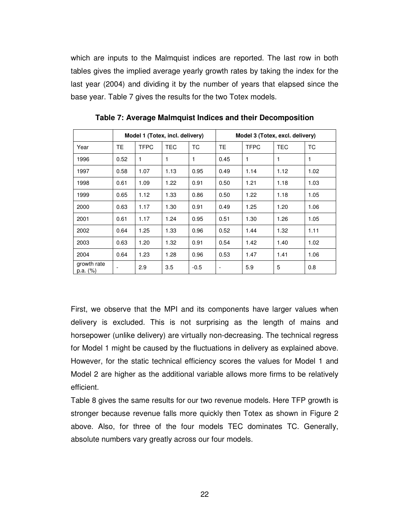which are inputs to the Malmquist indices are reported. The last row in both tables gives the implied average yearly growth rates by taking the index for the last year (2004) and dividing it by the number of years that elapsed since the base year. Table 7 gives the results for the two Totex models.

|                         | Model 1 (Totex, incl. delivery) |             |            |        | Model 3 (Totex, excl. delivery) |             |            |      |
|-------------------------|---------------------------------|-------------|------------|--------|---------------------------------|-------------|------------|------|
| Year                    | <b>TE</b>                       | <b>TFPC</b> | <b>TEC</b> | TC.    | <b>TE</b>                       | <b>TFPC</b> | <b>TEC</b> | ТC   |
| 1996                    | 0.52                            | 1           | 1          | 1      | 0.45                            | 1           | 1          | 1    |
| 1997                    | 0.58                            | 1.07        | 1.13       | 0.95   | 0.49                            | 1.14        | 1.12       | 1.02 |
| 1998                    | 0.61                            | 1.09        | 1.22       | 0.91   | 0.50                            | 1.21        | 1.18       | 1.03 |
| 1999                    | 0.65                            | 1.12        | 1.33       | 0.86   | 0.50                            | 1.22        | 1.18       | 1.05 |
| 2000                    | 0.63                            | 1.17        | 1.30       | 0.91   | 0.49                            | 1.25        | 1.20       | 1.06 |
| 2001                    | 0.61                            | 1.17        | 1.24       | 0.95   | 0.51                            | 1.30        | 1.26       | 1.05 |
| 2002                    | 0.64                            | 1.25        | 1.33       | 0.96   | 0.52                            | 1.44        | 1.32       | 1.11 |
| 2003                    | 0.63                            | 1.20        | 1.32       | 0.91   | 0.54                            | 1.42        | 1.40       | 1.02 |
| 2004                    | 0.64                            | 1.23        | 1.28       | 0.96   | 0.53                            | 1.47        | 1.41       | 1.06 |
| growth rate<br>p.a. (%) |                                 | 2.9         | 3.5        | $-0.5$ | $\overline{\phantom{a}}$        | 5.9         | 5          | 0.8  |

**Table 7: Average Malmquist Indices and their Decomposition** 

First, we observe that the MPI and its components have larger values when delivery is excluded. This is not surprising as the length of mains and horsepower (unlike delivery) are virtually non-decreasing. The technical regress for Model 1 might be caused by the fluctuations in delivery as explained above. However, for the static technical efficiency scores the values for Model 1 and Model 2 are higher as the additional variable allows more firms to be relatively efficient.

Table 8 gives the same results for our two revenue models. Here TFP growth is stronger because revenue falls more quickly then Totex as shown in Figure 2 above. Also, for three of the four models TEC dominates TC. Generally, absolute numbers vary greatly across our four models.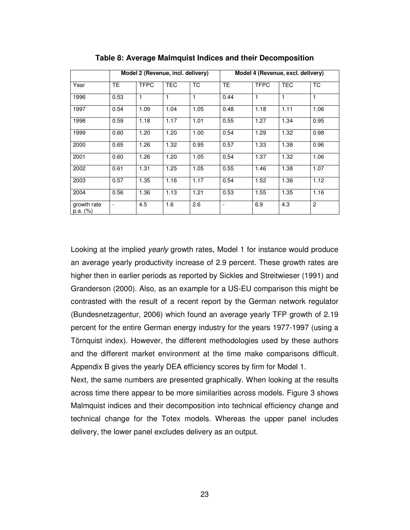|                         |                | Model 2 (Revenue, incl. delivery) |            |      | Model 4 (Revenue, excl. delivery) |              |            |                |
|-------------------------|----------------|-----------------------------------|------------|------|-----------------------------------|--------------|------------|----------------|
| Year                    | TE.            | <b>TFPC</b>                       | <b>TEC</b> | TC.  | <b>TE</b>                         | <b>TFPC</b>  | <b>TEC</b> | <b>TC</b>      |
| 1996                    | 0.53           | 1                                 | 1          |      | 0.44                              | $\mathbf{1}$ | 1          | 1              |
| 1997                    | 0.54           | 1.09                              | 1.04       | 1.05 | 0.48                              | 1.18         | 1.11       | 1.06           |
| 1998                    | 0.59           | 1.18                              | 1.17       | 1.01 | 0.55                              | 1.27         | 1.34       | 0.95           |
| 1999                    | 0.60           | 1.20                              | 1.20       | 1.00 | 0.54                              | 1.29         | 1.32       | 0.98           |
| 2000                    | 0.65           | 1.26                              | 1.32       | 0.95 | 0.57                              | 1.33         | 1.38       | 0.96           |
| 2001                    | 0.60           | 1.26                              | 1.20       | 1.05 | 0.54                              | 1.37         | 1.32       | 1.06           |
| 2002                    | 0.61           | 1.31                              | 1.25       | 1.05 | 0.55                              | 1.46         | 1.38       | 1.07           |
| 2003                    | 0.57           | 1.35                              | 1.16       | 1.17 | 0.54                              | 1.52         | 1.36       | 1.12           |
| 2004                    | 0.56           | 1.36                              | 1.13       | 1.21 | 0.53                              | 1.55         | 1.35       | 1.16           |
| growth rate<br>p.a. (%) | $\blacksquare$ | 4.5                               | 1.6        | 2.6  |                                   | 6.9          | 4.3        | $\overline{c}$ |

**Table 8: Average Malmquist Indices and their Decomposition** 

Looking at the implied yearly growth rates, Model 1 for instance would produce an average yearly productivity increase of 2.9 percent. These growth rates are higher then in earlier periods as reported by Sickles and Streitwieser (1991) and Granderson (2000). Also, as an example for a US-EU comparison this might be contrasted with the result of a recent report by the German network regulator (Bundesnetzagentur, 2006) which found an average yearly TFP growth of 2.19 percent for the entire German energy industry for the years 1977-1997 (using a Törnquist index). However, the different methodologies used by these authors and the different market environment at the time make comparisons difficult. Appendix B gives the yearly DEA efficiency scores by firm for Model 1.

Next, the same numbers are presented graphically. When looking at the results across time there appear to be more similarities across models. Figure 3 shows Malmquist indices and their decomposition into technical efficiency change and technical change for the Totex models. Whereas the upper panel includes delivery, the lower panel excludes delivery as an output.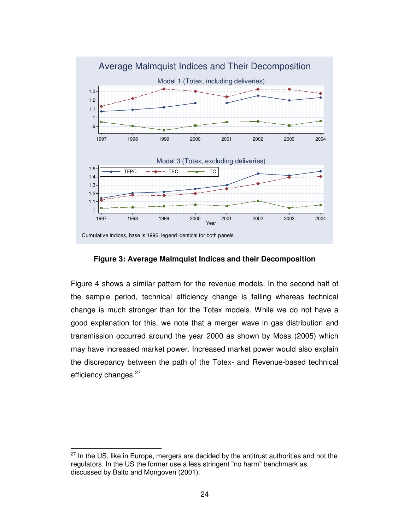

**Figure 3: Average Malmquist Indices and their Decomposition** 

Figure 4 shows a similar pattern for the revenue models. In the second half of the sample period, technical efficiency change is falling whereas technical change is much stronger than for the Totex models. While we do not have a good explanation for this, we note that a merger wave in gas distribution and transmission occurred around the year 2000 as shown by Moss (2005) which may have increased market power. Increased market power would also explain the discrepancy between the path of the Totex- and Revenue-based technical efficiency changes.<sup>27</sup>

 $27$  In the US, like in Europe, mergers are decided by the antitrust authorities and not the regulators. In the US the former use a less stringent "no harm" benchmark as discussed by Balto and Mongoven (2001).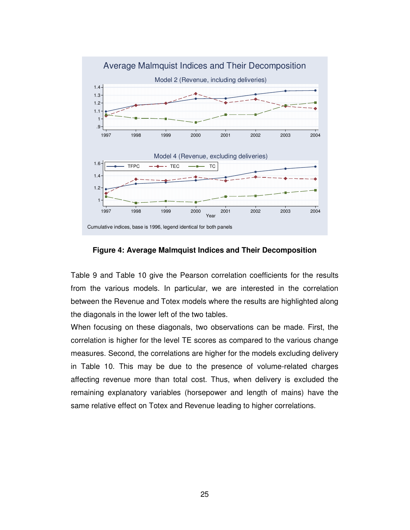

**Figure 4: Average Malmquist Indices and Their Decomposition** 

Table 9 and Table 10 give the Pearson correlation coefficients for the results from the various models. In particular, we are interested in the correlation between the Revenue and Totex models where the results are highlighted along the diagonals in the lower left of the two tables.

When focusing on these diagonals, two observations can be made. First, the correlation is higher for the level TE scores as compared to the various change measures. Second, the correlations are higher for the models excluding delivery in Table 10. This may be due to the presence of volume-related charges affecting revenue more than total cost. Thus, when delivery is excluded the remaining explanatory variables (horsepower and length of mains) have the same relative effect on Totex and Revenue leading to higher correlations.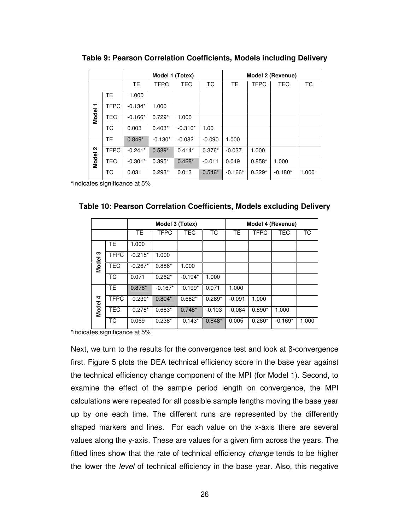|              |             |           | Model 1 (Totex) |            |          | Model 2 (Revenue) |             |            |       |
|--------------|-------------|-----------|-----------------|------------|----------|-------------------|-------------|------------|-------|
|              |             | <b>TE</b> | <b>TFPC</b>     | <b>TEC</b> | ТC       | TE.               | <b>TFPC</b> | <b>TEC</b> | ТC    |
|              | <b>TE</b>   | 1.000     |                 |            |          |                   |             |            |       |
| ↽            | <b>TFPC</b> | $-0.134*$ | 1.000           |            |          |                   |             |            |       |
| <b>Model</b> | <b>TEC</b>  | $-0.166*$ | $0.729*$        | 1.000      |          |                   |             |            |       |
|              | <b>TC</b>   | 0.003     | $0.403*$        | $-0.310*$  | 1.00     |                   |             |            |       |
|              | <b>TE</b>   | $0.849*$  | $-0.130*$       | $-0.082$   | $-0.090$ | 1.000             |             |            |       |
| $\sim$       | <b>TFPC</b> | $-0.241*$ | $0.589*$        | $0.414*$   | $0.376*$ | $-0.037$          | 1.000       |            |       |
| Model        | <b>TEC</b>  | $-0.301*$ | $0.395*$        | $0.428*$   | $-0.011$ | 0.049             | $0.858*$    | 1.000      |       |
|              | TC.         | 0.031     | $0.293*$        | 0.013      | $0.546*$ | $-0.166*$         | $0.329*$    | $-0.180*$  | 1.000 |

**Table 9: Pearson Correlation Coefficients, Models including Delivery** 

\*indicates significance at 5%

|       |             |           | Model 3 (Totex) |            |          |           |             | Model 4 (Revenue) |       |
|-------|-------------|-----------|-----------------|------------|----------|-----------|-------------|-------------------|-------|
|       |             | <b>TE</b> | <b>TFPC</b>     | <b>TEC</b> | ТC       | <b>TE</b> | <b>TFPC</b> | <b>TEC</b>        | TC.   |
|       | TE.         | 1.000     |                 |            |          |           |             |                   |       |
| ო     | <b>TFPC</b> | $-0.215*$ | 1.000           |            |          |           |             |                   |       |
| Model | <b>TEC</b>  | $-0.267*$ | $0.886*$        | 1.000      |          |           |             |                   |       |
|       | ТC          | 0.071     | $0.262*$        | $-0.194*$  | 1.000    |           |             |                   |       |
|       | <b>TE</b>   | $0.876*$  | $-0.167*$       | $-0.199*$  | 0.071    | 1.000     |             |                   |       |
| 4     | <b>TFPC</b> | $-0.230*$ | $0.804*$        | $0.682*$   | $0.289*$ | $-0.091$  | 1.000       |                   |       |
| Model | <b>TEC</b>  | $-0.278*$ | $0.683*$        | $0.748*$   | $-0.103$ | $-0.084$  | $0.890*$    | 1.000             |       |
|       | ТC          | 0.069     | $0.238*$        | $-0.143*$  | $0.848*$ | 0.005     | $0.280*$    | $-0.169*$         | 1.000 |

| Table 10: Pearson Correlation Coefficients, Models excluding Delivery |  |  |  |  |  |
|-----------------------------------------------------------------------|--|--|--|--|--|
|-----------------------------------------------------------------------|--|--|--|--|--|

\*indicates significance at 5%

Next, we turn to the results for the convergence test and look at β-convergence first. Figure 5 plots the DEA technical efficiency score in the base year against the technical efficiency change component of the MPI (for Model 1). Second, to examine the effect of the sample period length on convergence, the MPI calculations were repeated for all possible sample lengths moving the base year up by one each time. The different runs are represented by the differently shaped markers and lines. For each value on the x-axis there are several values along the y-axis. These are values for a given firm across the years. The fitted lines show that the rate of technical efficiency *change* tends to be higher the lower the *level* of technical efficiency in the base year. Also, this negative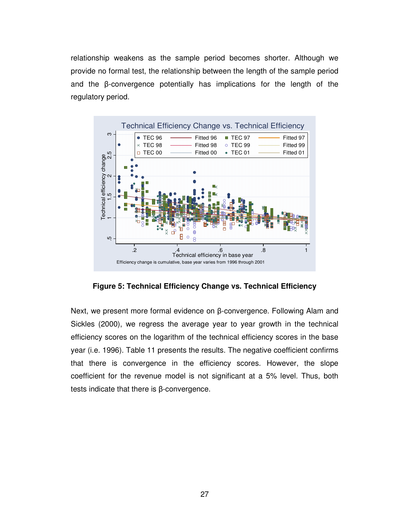relationship weakens as the sample period becomes shorter. Although we provide no formal test, the relationship between the length of the sample period and the β-convergence potentially has implications for the length of the regulatory period.



**Figure 5: Technical Efficiency Change vs. Technical Efficiency** 

Next, we present more formal evidence on β-convergence. Following Alam and Sickles (2000), we regress the average year to year growth in the technical efficiency scores on the logarithm of the technical efficiency scores in the base year (i.e. 1996). Table 11 presents the results. The negative coefficient confirms that there is convergence in the efficiency scores. However, the slope coefficient for the revenue model is not significant at a 5% level. Thus, both tests indicate that there is β-convergence.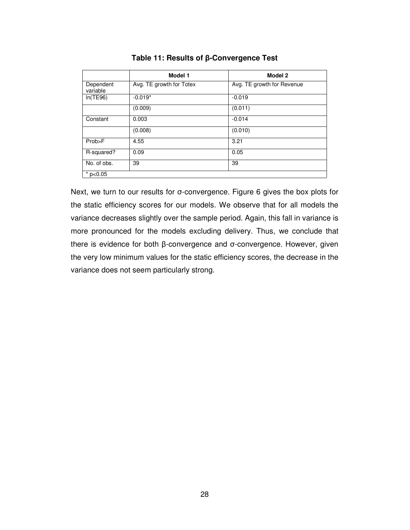|                       | Model 1                  | Model 2                    |
|-----------------------|--------------------------|----------------------------|
| Dependent<br>variable | Avg. TE growth for Totex | Avg. TE growth for Revenue |
| In(TE96)              | $-0.019*$                | $-0.019$                   |
|                       | (0.009)                  | (0.011)                    |
| Constant              | 0.003                    | $-0.014$                   |
|                       | (0.008)                  | (0.010)                    |
| Prob>F                | 4.55                     | 3.21                       |
| R-squared?            | 0.09                     | 0.05                       |
| No. of obs.           | 39                       | 39                         |
| $*$ p<0.05            |                          |                            |

#### **Table 11: Results of** β**-Convergence Test**

Next, we turn to our results for σ-convergence. Figure 6 gives the box plots for the static efficiency scores for our models. We observe that for all models the variance decreases slightly over the sample period. Again, this fall in variance is more pronounced for the models excluding delivery. Thus, we conclude that there is evidence for both β-convergence and σ-convergence. However, given the very low minimum values for the static efficiency scores, the decrease in the variance does not seem particularly strong.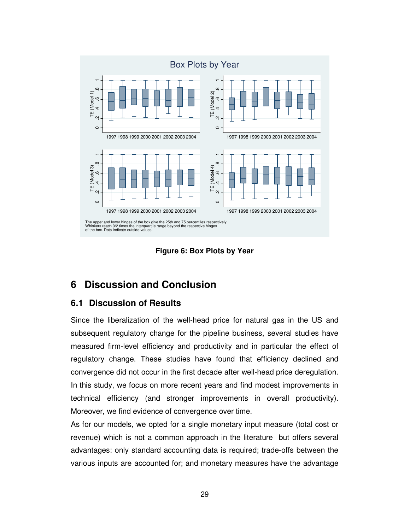



# **6 Discussion and Conclusion**

#### **6.1 Discussion of Results**

Since the liberalization of the well-head price for natural gas in the US and subsequent regulatory change for the pipeline business, several studies have measured firm-level efficiency and productivity and in particular the effect of regulatory change. These studies have found that efficiency declined and convergence did not occur in the first decade after well-head price deregulation. In this study, we focus on more recent years and find modest improvements in technical efficiency (and stronger improvements in overall productivity). Moreover, we find evidence of convergence over time.

As for our models, we opted for a single monetary input measure (total cost or revenue) which is not a common approach in the literature but offers several advantages: only standard accounting data is required; trade-offs between the various inputs are accounted for; and monetary measures have the advantage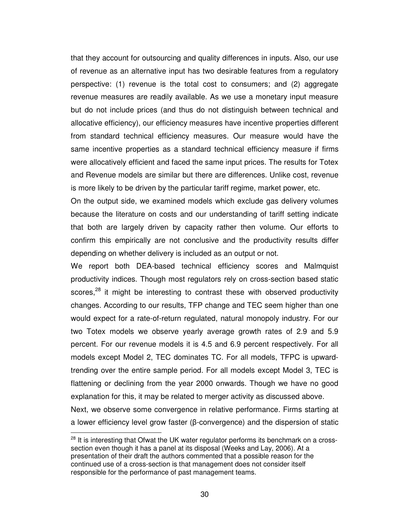that they account for outsourcing and quality differences in inputs. Also, our use of revenue as an alternative input has two desirable features from a regulatory perspective: (1) revenue is the total cost to consumers; and (2) aggregate revenue measures are readily available. As we use a monetary input measure but do not include prices (and thus do not distinguish between technical and allocative efficiency), our efficiency measures have incentive properties different from standard technical efficiency measures. Our measure would have the same incentive properties as a standard technical efficiency measure if firms were allocatively efficient and faced the same input prices. The results for Totex and Revenue models are similar but there are differences. Unlike cost, revenue is more likely to be driven by the particular tariff regime, market power, etc.

On the output side, we examined models which exclude gas delivery volumes because the literature on costs and our understanding of tariff setting indicate that both are largely driven by capacity rather then volume. Our efforts to confirm this empirically are not conclusive and the productivity results differ depending on whether delivery is included as an output or not.

We report both DEA-based technical efficiency scores and Malmquist productivity indices. Though most regulators rely on cross-section based static scores,<sup>28</sup> it might be interesting to contrast these with observed productivity changes. According to our results, TFP change and TEC seem higher than one would expect for a rate-of-return regulated, natural monopoly industry. For our two Totex models we observe yearly average growth rates of 2.9 and 5.9 percent. For our revenue models it is 4.5 and 6.9 percent respectively. For all models except Model 2, TEC dominates TC. For all models, TFPC is upwardtrending over the entire sample period. For all models except Model 3, TEC is flattening or declining from the year 2000 onwards. Though we have no good explanation for this, it may be related to merger activity as discussed above. Next, we observe some convergence in relative performance. Firms starting at a lower efficiency level grow faster (β-convergence) and the dispersion of static

 $28$  It is interesting that Ofwat the UK water regulator performs its benchmark on a crosssection even though it has a panel at its disposal (Weeks and Lay, 2006). At a presentation of their draft the authors commented that a possible reason for the continued use of a cross-section is that management does not consider itself responsible for the performance of past management teams.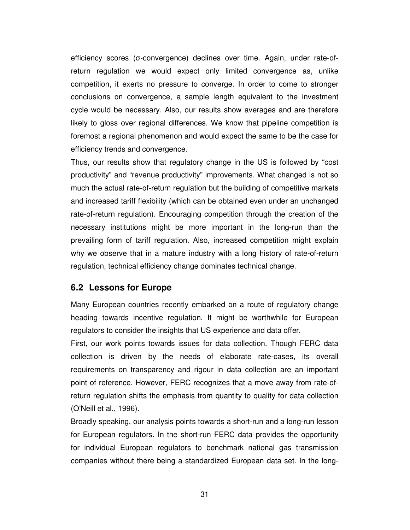efficiency scores (σ-convergence) declines over time. Again, under rate-ofreturn regulation we would expect only limited convergence as, unlike competition, it exerts no pressure to converge. In order to come to stronger conclusions on convergence, a sample length equivalent to the investment cycle would be necessary. Also, our results show averages and are therefore likely to gloss over regional differences. We know that pipeline competition is foremost a regional phenomenon and would expect the same to be the case for efficiency trends and convergence.

Thus, our results show that regulatory change in the US is followed by "cost productivity" and "revenue productivity" improvements. What changed is not so much the actual rate-of-return regulation but the building of competitive markets and increased tariff flexibility (which can be obtained even under an unchanged rate-of-return regulation). Encouraging competition through the creation of the necessary institutions might be more important in the long-run than the prevailing form of tariff regulation. Also, increased competition might explain why we observe that in a mature industry with a long history of rate-of-return regulation, technical efficiency change dominates technical change.

#### **6.2 Lessons for Europe**

Many European countries recently embarked on a route of regulatory change heading towards incentive regulation. It might be worthwhile for European regulators to consider the insights that US experience and data offer.

First, our work points towards issues for data collection. Though FERC data collection is driven by the needs of elaborate rate-cases, its overall requirements on transparency and rigour in data collection are an important point of reference. However, FERC recognizes that a move away from rate-ofreturn regulation shifts the emphasis from quantity to quality for data collection (O'Neill et al., 1996).

Broadly speaking, our analysis points towards a short-run and a long-run lesson for European regulators. In the short-run FERC data provides the opportunity for individual European regulators to benchmark national gas transmission companies without there being a standardized European data set. In the long-

31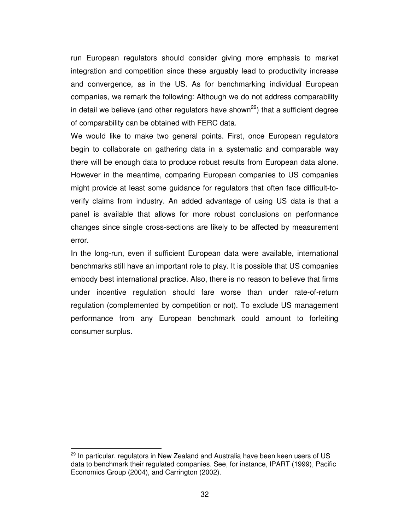run European regulators should consider giving more emphasis to market integration and competition since these arguably lead to productivity increase and convergence, as in the US. As for benchmarking individual European companies, we remark the following: Although we do not address comparability in detail we believe (and other regulators have shown<sup>29</sup>) that a sufficient degree of comparability can be obtained with FERC data.

We would like to make two general points. First, once European regulators begin to collaborate on gathering data in a systematic and comparable way there will be enough data to produce robust results from European data alone. However in the meantime, comparing European companies to US companies might provide at least some guidance for regulators that often face difficult-toverify claims from industry. An added advantage of using US data is that a panel is available that allows for more robust conclusions on performance changes since single cross-sections are likely to be affected by measurement error.

In the long-run, even if sufficient European data were available, international benchmarks still have an important role to play. It is possible that US companies embody best international practice. Also, there is no reason to believe that firms under incentive regulation should fare worse than under rate-of-return regulation (complemented by competition or not). To exclude US management performance from any European benchmark could amount to forfeiting consumer surplus.

 $^{29}$  In particular, regulators in New Zealand and Australia have been keen users of US data to benchmark their regulated companies. See, for instance, IPART (1999), Pacific Economics Group (2004), and Carrington (2002).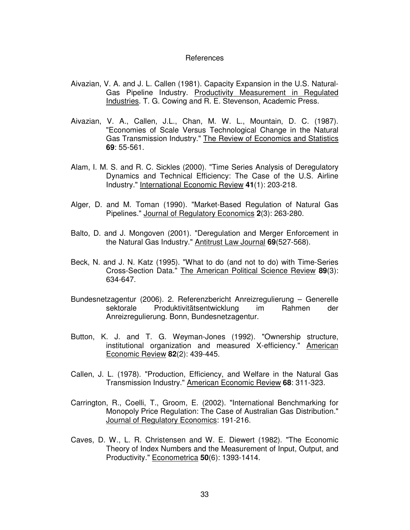#### References

- Aivazian, V. A. and J. L. Callen (1981). Capacity Expansion in the U.S. Natural-Gas Pipeline Industry. Productivity Measurement in Regulated Industries. T. G. Cowing and R. E. Stevenson, Academic Press.
- Aivazian, V. A., Callen, J.L., Chan, M. W. L., Mountain, D. C. (1987). "Economies of Scale Versus Technological Change in the Natural Gas Transmission Industry." The Review of Economics and Statistics **69**: 55-561.
- Alam, I. M. S. and R. C. Sickles (2000). "Time Series Analysis of Deregulatory Dynamics and Technical Efficiency: The Case of the U.S. Airline Industry." International Economic Review **41**(1): 203-218.
- Alger, D. and M. Toman (1990). "Market-Based Regulation of Natural Gas Pipelines." Journal of Regulatory Economics **2**(3): 263-280.
- Balto, D. and J. Mongoven (2001). "Deregulation and Merger Enforcement in the Natural Gas Industry." Antitrust Law Journal **69**(527-568).
- Beck, N. and J. N. Katz (1995). "What to do (and not to do) with Time-Series Cross-Section Data." The American Political Science Review **89**(3): 634-647.
- Bundesnetzagentur (2006). 2. Referenzbericht Anreizregulierung Generelle sektorale Produktivitätsentwicklung im Rahmen der Anreizregulierung. Bonn, Bundesnetzagentur.
- Button, K. J. and T. G. Weyman-Jones (1992). "Ownership structure, institutional organization and measured X-efficiency." American Economic Review **82**(2): 439-445.
- Callen, J. L. (1978). "Production, Efficiency, and Welfare in the Natural Gas Transmission Industry." American Economic Review **68**: 311-323.
- Carrington, R., Coelli, T., Groom, E. (2002). "International Benchmarking for Monopoly Price Regulation: The Case of Australian Gas Distribution." Journal of Regulatory Economics: 191-216.
- Caves, D. W., L. R. Christensen and W. E. Diewert (1982). "The Economic Theory of Index Numbers and the Measurement of Input, Output, and Productivity." Econometrica **50**(6): 1393-1414.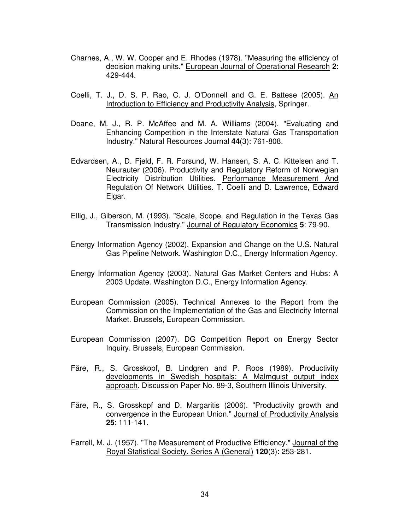- Charnes, A., W. W. Cooper and E. Rhodes (1978). "Measuring the efficiency of decision making units." European Journal of Operational Research **2**: 429-444.
- Coelli, T. J., D. S. P. Rao, C. J. O'Donnell and G. E. Battese (2005). An Introduction to Efficiency and Productivity Analysis, Springer.
- Doane, M. J., R. P. McAffee and M. A. Williams (2004). "Evaluating and Enhancing Competition in the Interstate Natural Gas Transportation Industry." Natural Resources Journal **44**(3): 761-808.
- Edvardsen, A., D. Fjeld, F. R. Forsund, W. Hansen, S. A. C. Kittelsen and T. Neurauter (2006). Productivity and Regulatory Reform of Norwegian Electricity Distribution Utilities. Performance Measurement And Regulation Of Network Utilities. T. Coelli and D. Lawrence, Edward Elgar.
- Ellig, J., Giberson, M. (1993). "Scale, Scope, and Regulation in the Texas Gas Transmission Industry." Journal of Regulatory Economics **5**: 79-90.
- Energy Information Agency (2002). Expansion and Change on the U.S. Natural Gas Pipeline Network. Washington D.C., Energy Information Agency.
- Energy Information Agency (2003). Natural Gas Market Centers and Hubs: A 2003 Update. Washington D.C., Energy Information Agency.
- European Commission (2005). Technical Annexes to the Report from the Commission on the Implementation of the Gas and Electricity Internal Market. Brussels, European Commission.
- European Commission (2007). DG Competition Report on Energy Sector Inquiry. Brussels, European Commission.
- Färe, R., S. Grosskopf, B. Lindgren and P. Roos (1989). Productivity developments in Swedish hospitals: A Malmquist output index approach. Discussion Paper No. 89-3, Southern Illinois University.
- Färe, R., S. Grosskopf and D. Margaritis (2006). "Productivity growth and convergence in the European Union." Journal of Productivity Analysis **25**: 111-141.
- Farrell, M. J. (1957). "The Measurement of Productive Efficiency." Journal of the Royal Statistical Society. Series A (General) **120**(3): 253-281.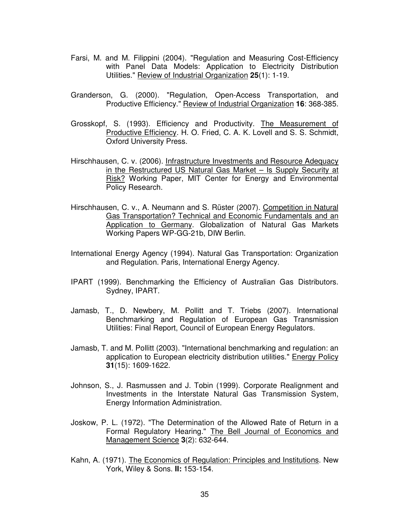- Farsi, M. and M. Filippini (2004). "Regulation and Measuring Cost-Efficiency with Panel Data Models: Application to Electricity Distribution Utilities." Review of Industrial Organization **25**(1): 1-19.
- Granderson, G. (2000). "Regulation, Open-Access Transportation, and Productive Efficiency." Review of Industrial Organization **16**: 368-385.
- Grosskopf, S. (1993). Efficiency and Productivity. The Measurement of Productive Efficiency. H. O. Fried, C. A. K. Lovell and S. S. Schmidt, Oxford University Press.
- Hirschhausen, C. v. (2006). Infrastructure Investments and Resource Adequacy in the Restructured US Natural Gas Market – Is Supply Security at Risk? Working Paper, MIT Center for Energy and Environmental Policy Research.
- Hirschhausen, C. v., A. Neumann and S. Rüster (2007). Competition in Natural Gas Transportation? Technical and Economic Fundamentals and an Application to Germany. Globalization of Natural Gas Markets Working Papers WP-GG-21b, DIW Berlin.
- International Energy Agency (1994). Natural Gas Transportation: Organization and Regulation. Paris, International Energy Agency.
- IPART (1999). Benchmarking the Efficiency of Australian Gas Distributors. Sydney, IPART.
- Jamasb, T., D. Newbery, M. Pollitt and T. Triebs (2007). International Benchmarking and Regulation of European Gas Transmission Utilities: Final Report, Council of European Energy Regulators.
- Jamasb, T. and M. Pollitt (2003). "International benchmarking and regulation: an application to European electricity distribution utilities." Energy Policy **31**(15): 1609-1622.
- Johnson, S., J. Rasmussen and J. Tobin (1999). Corporate Realignment and Investments in the Interstate Natural Gas Transmission System, Energy Information Administration.
- Joskow, P. L. (1972). "The Determination of the Allowed Rate of Return in a Formal Regulatory Hearing." The Bell Journal of Economics and Management Science **3**(2): 632-644.
- Kahn, A. (1971). The Economics of Regulation: Principles and Institutions. New York, Wiley & Sons. **II:** 153-154.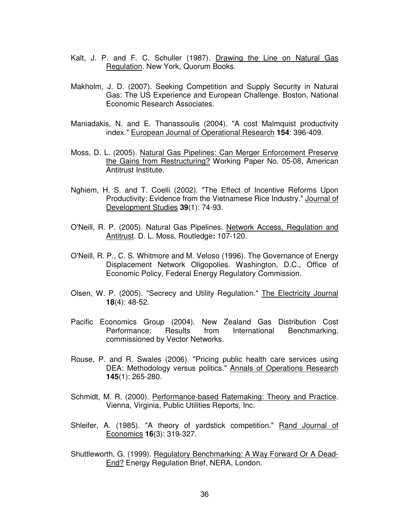- Kalt, J. P. and F. C. Schuller (1987). Drawing the Line on Natural Gas Regulation. New York, Quorum Books.
- Makholm, J. D. (2007). Seeking Competition and Supply Security in Natural Gas: The US Experience and European Challenge. Boston, National Economic Research Associates.
- Maniadakis, N. and E. Thanassoulis (2004). "A cost Malmquist productivity index." European Journal of Operational Research **154**: 396-409.
- Moss, D. L. (2005). Natural Gas Pipelines: Can Merger Enforcement Preserve the Gains from Restructuring? Working Paper No. 05-08, American Antitrust Institute.
- Nghiem, H. S. and T. Coelli (2002). "The Effect of Incentive Reforms Upon Productivity: Evidence from the Vietnamese Rice Industry." Journal of Development Studies **39**(1): 74-93.
- O'Neill, R. P. (2005). Natural Gas Pipelines. Network Access, Regulation and Antitrust. D. L. Moss, Routledge**:** 107-120.
- O'Neill, R. P., C. S. Whitmore and M. Veloso (1996). The Governance of Energy Displacement Network Oligopolies. Washington, D.C., Office of Economic Policy, Federal Energy Regulatory Commission.
- Olsen, W. P. (2005). "Secrecy and Utility Regulation." The Electricity Journal **18**(4): 48-52.
- Pacific Economics Group (2004). New Zealand Gas Distribution Cost Performance: Results from International Benchmarking, commissioned by Vector Networks.
- Rouse, P. and R. Swales (2006). "Pricing public health care services using DEA: Methodology versus politics." Annals of Operations Research **145**(1): 265-280.
- Schmidt, M. R. (2000). Performance-based Ratemaking: Theory and Practice. Vienna, Virginia, Public Utilities Reports, Inc.
- Shleifer, A. (1985). "A theory of yardstick competition." Rand Journal of Economics **16**(3): 319-327.
- Shuttleworth, G. (1999). Regulatory Benchmarking: A Way Forward Or A Dead-End? Energy Regulation Brief, NERA, London.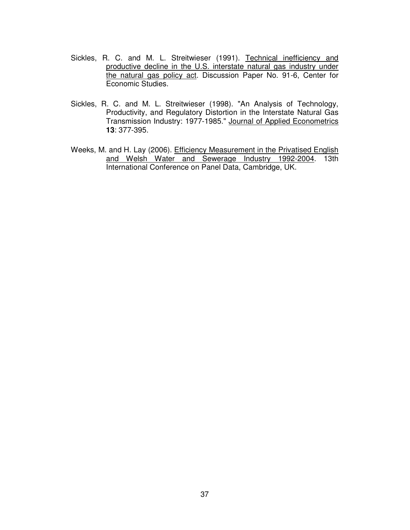- Sickles, R. C. and M. L. Streitwieser (1991). Technical inefficiency and productive decline in the U.S. interstate natural gas industry under the natural gas policy act. Discussion Paper No. 91-6, Center for Economic Studies.
- Sickles, R. C. and M. L. Streitwieser (1998). "An Analysis of Technology, Productivity, and Regulatory Distortion in the Interstate Natural Gas Transmission Industry: 1977-1985." Journal of Applied Econometrics **13**: 377-395.
- Weeks, M. and H. Lay (2006). Efficiency Measurement in the Privatised English and Welsh Water and Sewerage Industry 1992-2004. 13th International Conference on Panel Data, Cambridge, UK.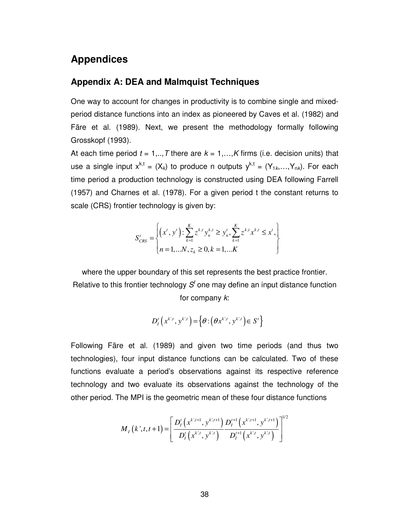### **Appendices**

#### **Appendix A: DEA and Malmquist Techniques**

One way to account for changes in productivity is to combine single and mixedperiod distance functions into an index as pioneered by Caves et al. (1982) and Färe et al. (1989). Next, we present the methodology formally following Grosskopf (1993).

At each time period  $t = 1, \ldots, T$  there are  $k = 1, \ldots, K$  firms (i.e. decision units) that use a single input  $x^{k,t} = (X_k)$  to produce n outputs  $y^{k,t} = (Y_{1k},...,Y_{nk})$ . For each time period a production technology is constructed using DEA following Farrell (1957) and Charnes et al. (1978). For a given period t the constant returns to scale (CRS) frontier technology is given by:

$$
S_{CRS}^{t} = \begin{cases} \left(x^{t}, y^{t}\right) : \sum_{k=1}^{K} z^{k,t} y_{n}^{k,t} \geq y_{n}^{t}, \sum_{k=1}^{K} z^{k,t} x^{k,t} \leq x^{t}, \\ n = 1,...N, z_{k} \geq 0, k = 1,...K \end{cases}
$$

where the upper boundary of this set represents the best practice frontier. Relative to this frontier technology  $S<sup>t</sup>$  one may define an input distance function for company  $k$ :

$$
D_I^t\left(x^{k,t}, y^{k,t}\right) = \left\{\boldsymbol{\theta} : \left(\boldsymbol{\theta} x^{k,t}, y^{k,t}\right) \in S^t\right\}
$$

Following Färe et al. (1989) and given two time periods (and thus two technologies), four input distance functions can be calculated. Two of these functions evaluate a period's observations against its respective reference technology and two evaluate its observations against the technology of the other period. The MPI is the geometric mean of these four distance functions

$$
M_{I}\left(k^{\prime},t,t+1\right) = \left[\frac{D_{I}^{t}\left(x^{k^{\prime},t+1}, y^{k^{\prime},t+1}\right)}{D_{I}^{t}\left(x^{k^{\prime},t}, y^{k^{\prime},t}\right)} \frac{D_{I}^{t+1}\left(x^{k^{\prime},t+1}, y^{k^{\prime},t+1}\right)}{D_{I}^{t+1}\left(x^{k^{\prime},t}, y^{k^{\prime},t}\right)}\right]^{1/2}
$$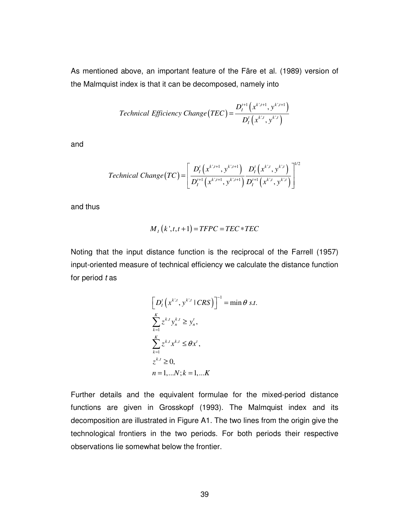As mentioned above, an important feature of the Färe et al. (1989) version of the Malmquist index is that it can be decomposed, namely into

*Technical Efficiency Change* 
$$
(TEC) = \frac{D_l^{t+1}(x^{k,t+1}, y^{k,t+1})}{D_l^{t}(x^{k,t}, y^{k,t})}
$$

and

*Technical Change*(*TC*) = 
$$
\left[ \frac{D_I^t(x^{k,t+1}, y^{k,t+1})}{D_I^{t+1}(x^{k,t+1}, y^{k,t+1})} \frac{D_I^t(x^{k,t}, y^{k,t})}{D_I^{t+1}(x^{k,t}, y^{k,t})} \right]^{1/2}
$$

and thus

$$
M_{I}(k^{\prime},t,t+1)=TFPC=TEC*TEC
$$

Noting that the input distance function is the reciprocal of the Farrell (1957) input-oriented measure of technical efficiency we calculate the distance function for period  $t$  as

$$
\left[D'_l\left(x^{k,t}, y^{k,t} \mid CRS\right)\right]^{-1} = \min \theta \, s.t.
$$
  

$$
\sum_{k=1}^K z^{k,t} y_n^{k,t} \ge y'_n,
$$
  

$$
\sum_{k=1}^K z^{k,t} x^{k,t} \le \theta x^t,
$$
  

$$
z^{k,t} \ge 0,
$$
  

$$
n = 1,...N; k = 1,...K
$$

Further details and the equivalent formulae for the mixed-period distance functions are given in Grosskopf (1993). The Malmquist index and its decomposition are illustrated in Figure A1. The two lines from the origin give the technological frontiers in the two periods. For both periods their respective observations lie somewhat below the frontier.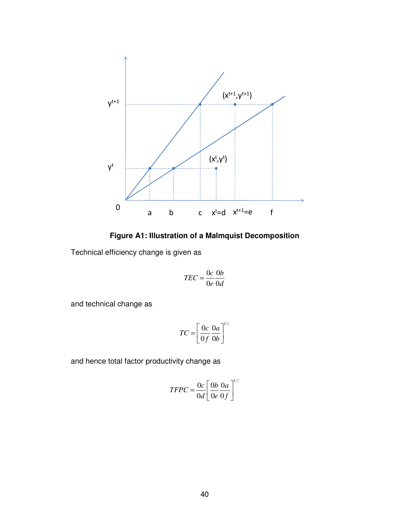

**Figure A1: Illustration of a Malmquist Decomposition** 

Technical efficiency change is given as

$$
TEC = \frac{0c}{0e} \frac{0b}{0d}
$$

and technical change as

$$
TC = \left[\frac{0c}{0f} \frac{0a}{0b}\right]^{1/2}
$$

and hence total factor productivity change as

$$
TFPC = \frac{0c}{0d} \left[ \frac{0b}{0e} \frac{0a}{0f} \right]^{1/2}
$$